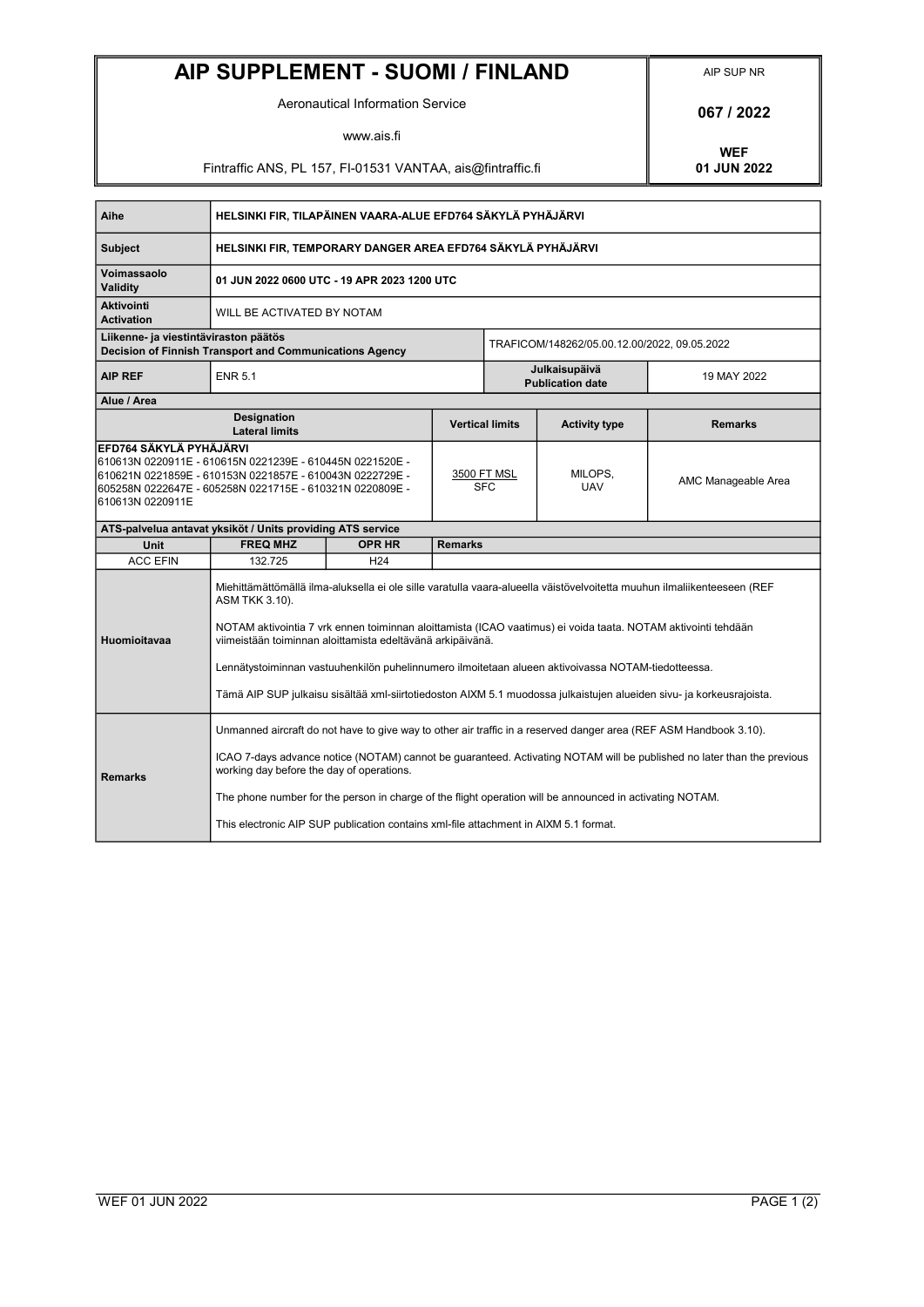## AIP SUPPLEMENT - SUOMI / FINLAND AIP SUP NR

Aeronautical Information Service **168 a.m.** 1887 / 2022

www.ais.fi

Fintraffic ANS, PL 157, FI-01531 VANTAA, ais@fintraffic.fi

WEF<br>01 JUN 2022

| Aihe                                                                                                                                                                                                                            | HELSINKI FIR, TILAPÄINEN VAARA-ALUE EFD764 SÄKYLÄ PYHÄJÄRVI                                                                                                                                                                                                                                                                                                                                                                                                                                                                                            |                 |                           |                                              |                       |                     |  |
|---------------------------------------------------------------------------------------------------------------------------------------------------------------------------------------------------------------------------------|--------------------------------------------------------------------------------------------------------------------------------------------------------------------------------------------------------------------------------------------------------------------------------------------------------------------------------------------------------------------------------------------------------------------------------------------------------------------------------------------------------------------------------------------------------|-----------------|---------------------------|----------------------------------------------|-----------------------|---------------------|--|
| <b>Subject</b>                                                                                                                                                                                                                  | HELSINKI FIR, TEMPORARY DANGER AREA EFD764 SÄKYLÄ PYHÄJÄRVI                                                                                                                                                                                                                                                                                                                                                                                                                                                                                            |                 |                           |                                              |                       |                     |  |
| Voimassaolo<br>Validity                                                                                                                                                                                                         | 01 JUN 2022 0600 UTC - 19 APR 2023 1200 UTC                                                                                                                                                                                                                                                                                                                                                                                                                                                                                                            |                 |                           |                                              |                       |                     |  |
| <b>Aktivointi</b><br><b>Activation</b>                                                                                                                                                                                          | WILL BE ACTIVATED BY NOTAM                                                                                                                                                                                                                                                                                                                                                                                                                                                                                                                             |                 |                           |                                              |                       |                     |  |
| Liikenne- ja viestintäviraston päätös<br>Decision of Finnish Transport and Communications Agency                                                                                                                                |                                                                                                                                                                                                                                                                                                                                                                                                                                                                                                                                                        |                 |                           | TRAFICOM/148262/05.00.12.00/2022, 09.05.2022 |                       |                     |  |
| <b>AIP REF</b>                                                                                                                                                                                                                  | <b>ENR 5.1</b>                                                                                                                                                                                                                                                                                                                                                                                                                                                                                                                                         |                 |                           | Julkaisupäivä<br><b>Publication date</b>     |                       | 19 MAY 2022         |  |
| Alue / Area                                                                                                                                                                                                                     |                                                                                                                                                                                                                                                                                                                                                                                                                                                                                                                                                        |                 |                           |                                              |                       |                     |  |
| <b>Designation</b><br><b>Lateral limits</b>                                                                                                                                                                                     |                                                                                                                                                                                                                                                                                                                                                                                                                                                                                                                                                        |                 |                           | <b>Vertical limits</b>                       | <b>Activity type</b>  | <b>Remarks</b>      |  |
| EFD764 SÄKYLÄ PYHÄJÄRVI<br>610613N 0220911E - 610615N 0221239E - 610445N 0221520E -<br>610621N 0221859E - 610153N 0221857E - 610043N 0222729E -<br>605258N 0222647E - 605258N 0221715E - 610321N 0220809E -<br>610613N 0220911E |                                                                                                                                                                                                                                                                                                                                                                                                                                                                                                                                                        |                 | 3500 FT MSL<br><b>SFC</b> |                                              | MILOPS,<br><b>UAV</b> | AMC Manageable Area |  |
| ATS-palvelua antavat yksiköt / Units providing ATS service                                                                                                                                                                      |                                                                                                                                                                                                                                                                                                                                                                                                                                                                                                                                                        |                 |                           |                                              |                       |                     |  |
| Unit                                                                                                                                                                                                                            | <b>FREQ MHZ</b>                                                                                                                                                                                                                                                                                                                                                                                                                                                                                                                                        | <b>OPR HR</b>   | <b>Remarks</b>            |                                              |                       |                     |  |
| <b>ACC EFIN</b>                                                                                                                                                                                                                 | 132.725                                                                                                                                                                                                                                                                                                                                                                                                                                                                                                                                                | H <sub>24</sub> |                           |                                              |                       |                     |  |
| Huomioitavaa                                                                                                                                                                                                                    | Miehittämättömällä ilma-aluksella ei ole sille varatulla vaara-alueella väistövelvoitetta muuhun ilmaliikenteeseen (REF<br>ASM TKK 3.10).<br>NOTAM aktivointia 7 vrk ennen toiminnan aloittamista (ICAO vaatimus) ei voida taata. NOTAM aktivointi tehdään<br>viimeistään toiminnan aloittamista edeltävänä arkipäivänä.<br>Lennätystoiminnan vastuuhenkilön puhelinnumero ilmoitetaan alueen aktivoivassa NOTAM-tiedotteessa.<br>Tämä AIP SUP julkaisu sisältää xml-siirtotiedoston AIXM 5.1 muodossa julkaistujen alueiden sivu- ja korkeusrajoista. |                 |                           |                                              |                       |                     |  |
| <b>Remarks</b>                                                                                                                                                                                                                  | Unmanned aircraft do not have to give way to other air traffic in a reserved danger area (REF ASM Handbook 3.10).<br>ICAO 7-days advance notice (NOTAM) cannot be guaranteed. Activating NOTAM will be published no later than the previous<br>working day before the day of operations.<br>The phone number for the person in charge of the flight operation will be announced in activating NOTAM.<br>This electronic AIP SUP publication contains xml-file attachment in AIXM 5.1 format.                                                           |                 |                           |                                              |                       |                     |  |